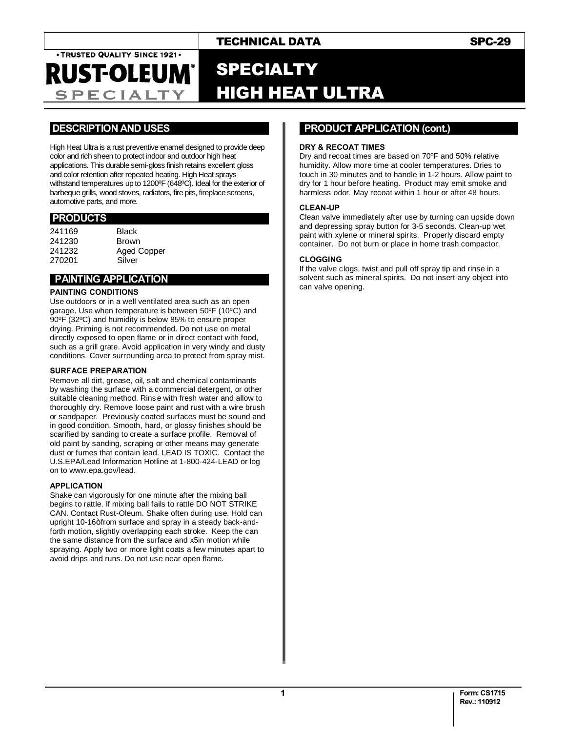## TECHNICAL DATA SPC-29

. TRUSTED QUALITY SINCE 1921. **RUST-OLEUM®** 

**SPECIALTY** 

# SPECIALTY HIGH HEAT ULTRA

### **.DESCRIPTION AND USES .**

High Heat Ultra is a rust preventive enamel designed to provide deep color and rich sheen to protect indoor and outdoor high heat applications. This durable semi-gloss finish retains excellent gloss and color retention after repeated heating. High Heat sprays withstand temperatures up to 1200ºF (648ºC). Ideal for the exterior of barbeque grills, wood stoves, radiators, fire pits, fireplace screens, automotive parts, and more.

#### **.PRODUCTS .**

| <b>Black</b> |
|--------------|
| <b>Brown</b> |
| Aged Copper  |
| Silver       |
|              |

## **PAINTING APPLICATION**

#### **PAINTING CONDITIONS**

Use outdoors or in a well ventilated area such as an open garage. Use when temperature is between 50ºF (10ºC) and 90ºF (32ºC) and humidity is below 85% to ensure proper drying. Priming is not recommended. Do not use on metal directly exposed to open flame or in direct contact with food, such as a grill grate. Avoid application in very windy and dusty conditions. Cover surrounding area to protect from spray mist.

#### **SURFACE PREPARATION**

Remove all dirt, grease, oil, salt and chemical contaminants by washing the surface with a commercial detergent, or other suitable cleaning method. Rinse with fresh water and allow to thoroughly dry. Remove loose paint and rust with a wire brush or sandpaper. Previously coated surfaces must be sound and in good condition. Smooth, hard, or glossy finishes should be scarified by sanding to create a surface profile. Removal of old paint by sanding, scraping or other means may generate dust or fumes that contain lead. LEAD IS TOXIC. Contact the U.S.EPA/Lead Information Hotline at 1-800-424-LEAD or log on to www.epa.gov/lead.

#### **APPLICATION**

Shake can vigorously for one minute after the mixing ball begins to rattle. If mixing ball fails to rattle DO NOT STRIKE CAN. Contact Rust-Oleum. Shake often during use. Hold can upright 10-16+from surface and spray in a steady back-andforth motion, slightly overlapping each stroke. Keep the can the same distance from the surface and x5in motion while spraying. Apply two or more light coats a few minutes apart to avoid drips and runs. Do not use near open flame.

### **..PRODUCT APPLICATION (cont.) .**

#### **DRY & RECOAT TIMES**

Dry and recoat times are based on 70ºF and 50% relative humidity. Allow more time at cooler temperatures. Dries to touch in 30 minutes and to handle in 1-2 hours. Allow paint to dry for 1 hour before heating. Product may emit smoke and harmless odor. May recoat within 1 hour or after 48 hours.

#### **CLEAN-UP**

Clean valve immediately after use by turning can upside down and depressing spray button for 3-5 seconds. Clean-up wet paint with xylene or mineral spirits. Properly discard empty container. Do not burn or place in home trash compactor.

#### **CLOGGING**

If the valve clogs, twist and pull off spray tip and rinse in a solvent such as mineral spirits. Do not insert any object into can valve opening.